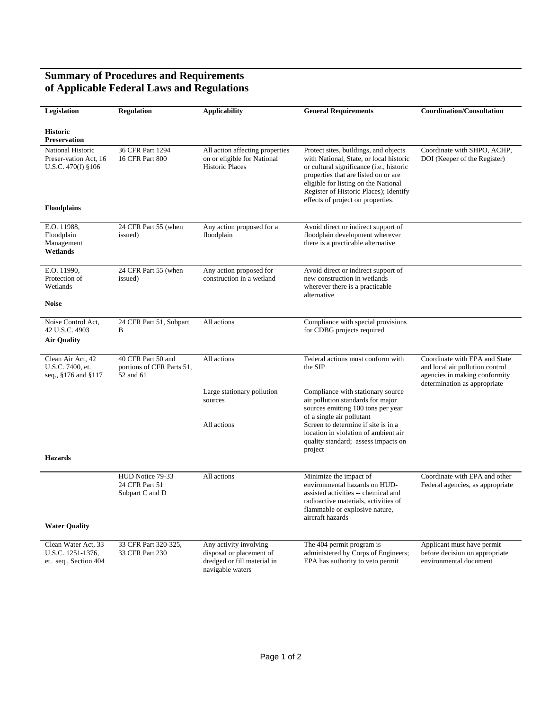## **Summary of Procedures and Requirements of Applicable Federal Laws and Regulations**

| Legislation                                                             | <b>Regulation</b>                                            | <b>Applicability</b>                                                                                  | <b>General Requirements</b>                                                                                                                                                                                                                                                                 | <b>Coordination/Consultation</b>                                                                                                  |
|-------------------------------------------------------------------------|--------------------------------------------------------------|-------------------------------------------------------------------------------------------------------|---------------------------------------------------------------------------------------------------------------------------------------------------------------------------------------------------------------------------------------------------------------------------------------------|-----------------------------------------------------------------------------------------------------------------------------------|
| <b>Historic</b><br><b>Preservation</b>                                  |                                                              |                                                                                                       |                                                                                                                                                                                                                                                                                             |                                                                                                                                   |
| <b>National Historic</b><br>Preser-vation Act, 16<br>U.S.C. 470(f) §106 | 36 CFR Part 1294<br>16 CFR Part 800                          | All action affecting properties<br>on or eligible for National<br><b>Historic Places</b>              | Protect sites, buildings, and objects<br>with National, State, or local historic<br>or cultural significance (i.e., historic<br>properties that are listed on or are<br>eligible for listing on the National<br>Register of Historic Places); Identify<br>effects of project on properties. | Coordinate with SHPO, ACHP,<br>DOI (Keeper of the Register)                                                                       |
| <b>Floodplains</b>                                                      |                                                              |                                                                                                       |                                                                                                                                                                                                                                                                                             |                                                                                                                                   |
| E.O. 11988.<br>Floodplain<br>Management<br>Wetlands                     | 24 CFR Part 55 (when<br>issued)                              | Any action proposed for a<br>floodplain                                                               | Avoid direct or indirect support of<br>floodplain development wherever<br>there is a practicable alternative                                                                                                                                                                                |                                                                                                                                   |
| E.O. 11990,<br>Protection of<br>Wetlands                                | 24 CFR Part 55 (when<br>issued)                              | Any action proposed for<br>construction in a wetland                                                  | Avoid direct or indirect support of<br>new construction in wetlands<br>wherever there is a practicable.<br>alternative                                                                                                                                                                      |                                                                                                                                   |
| <b>Noise</b>                                                            |                                                              |                                                                                                       |                                                                                                                                                                                                                                                                                             |                                                                                                                                   |
| Noise Control Act,<br>42 U.S.C. 4903<br><b>Air Quality</b>              | 24 CFR Part 51, Subpart<br>B                                 | All actions                                                                                           | Compliance with special provisions<br>for CDBG projects required                                                                                                                                                                                                                            |                                                                                                                                   |
| Clean Air Act, 42<br>U.S.C. 7400, et.<br>seq., §176 and §117            | 40 CFR Part 50 and<br>portions of CFR Parts 51,<br>52 and 61 | All actions                                                                                           | Federal actions must conform with<br>the SIP                                                                                                                                                                                                                                                | Coordinate with EPA and State<br>and local air pollution control<br>agencies in making conformity<br>determination as appropriate |
|                                                                         |                                                              | Large stationary pollution<br>sources                                                                 | Compliance with stationary source<br>air pollution standards for major<br>sources emitting 100 tons per year                                                                                                                                                                                |                                                                                                                                   |
|                                                                         |                                                              | All actions                                                                                           | of a single air pollutant<br>Screen to determine if site is in a<br>location in violation of ambient air<br>quality standard; assess impacts on<br>project                                                                                                                                  |                                                                                                                                   |
| <b>Hazards</b>                                                          |                                                              |                                                                                                       |                                                                                                                                                                                                                                                                                             |                                                                                                                                   |
|                                                                         | HUD Notice 79-33<br>24 CFR Part 51<br>Subpart C and D        | All actions                                                                                           | Minimize the impact of<br>environmental hazards on HUD-<br>assisted activities -- chemical and<br>radioactive materials, activities of<br>flammable or explosive nature,<br>aircraft hazards                                                                                                | Coordinate with EPA and other<br>Federal agencies, as appropriate                                                                 |
| <b>Water Quality</b>                                                    |                                                              |                                                                                                       |                                                                                                                                                                                                                                                                                             |                                                                                                                                   |
| Clean Water Act, 33<br>U.S.C. 1251-1376,<br>et. seq., Section 404       | 33 CFR Part 320-325,<br>33 CFR Part 230                      | Any activity involving<br>disposal or placement of<br>dredged or fill material in<br>navigable waters | The 404 permit program is<br>administered by Corps of Engineers;<br>EPA has authority to veto permit                                                                                                                                                                                        | Applicant must have permit<br>before decision on appropriate<br>environmental document                                            |